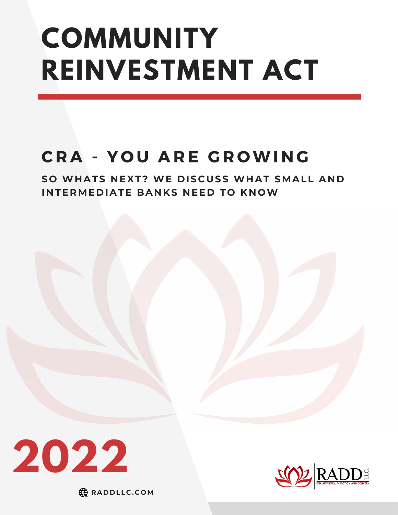# **COMMUNITY REINVESTMENT ACT**

# **C R A - Y O U A R E G R OWI N G**

**SO WH ATS N EXT? WE D ISCUSS WH AT SMALL A N D I N TERME D IATE BA N KS N EE D TO K NOW**





**RA D D LLC.COM**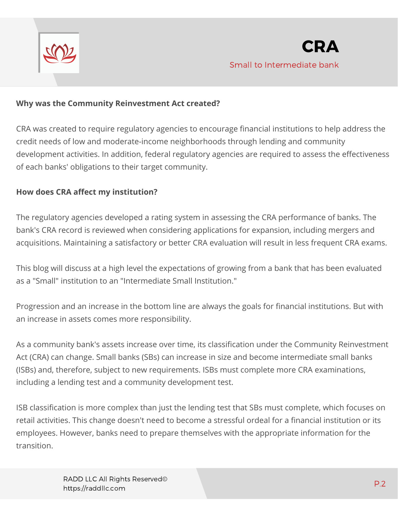

#### **Why was the Community Reinvestment Act created?**

CRA was created to require regulatory agencies to encourage financial institutions to help address the credit needs of low and moderate-income neighborhoods through lending and community development activities. In addition, federal regulatory agencies are required to assess the effectiveness of each banks' obligations to their target community.

#### **How does CRA affect my institution?**

The regulatory agencies developed a rating system in assessing the CRA performance of banks. The bank's CRA record is reviewed when considering applications for expansion, including mergers and acquisitions. Maintaining a satisfactory or better CRA evaluation will result in less frequent CRA exams.

This blog will discuss at a high level the expectations of growing from a bank that has been evaluated as a "Small" institution to an "Intermediate Small Institution."

Progression and an increase in the bottom line are always the goals for financial institutions. But with an increase in assets comes more responsibility.

As a community bank's assets increase over time, its classification under the Community Reinvestment Act (CRA) can change. Small banks (SBs) can increase in size and become intermediate small banks (ISBs) and, therefore, subject to new requirements. ISBs must complete more CRA examinations, including a lending test and a community development test.

ISB classification is more complex than just the lending test that SBs must complete, which focuses on retail activities. This change doesn't need to become a stressful ordeal for a financial institution or its employees. However, banks need to prepare themselves with the appropriate information for the transition.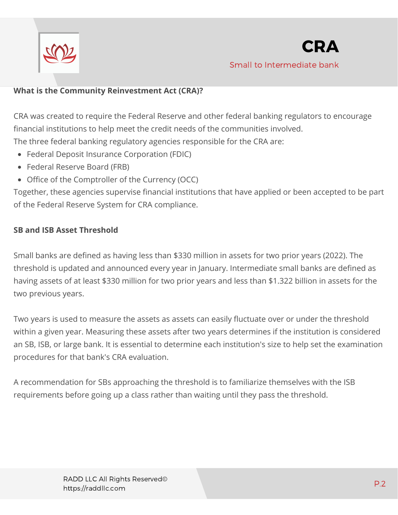

### **What is the Community Reinvestment Act (CRA)?**

CRA was created to require the Federal Reserve and other federal banking regulators to encourage financial institutions to help meet the credit needs of the communities involved. The three federal banking regulatory agencies responsible for the CRA are:

- Federal Deposit Insurance Corporation (FDIC)
- Federal Reserve Board (FRB)
- Office of the Comptroller of the Currency (OCC)

Together, these agencies supervise financial institutions that have applied or been accepted to be part of the Federal Reserve System for CRA compliance.

#### **SB and ISB Asset Threshold**

Small banks are defined as having less than \$330 million in assets for two prior years (2022). The threshold is updated and announced every year in January. Intermediate small banks are defined as having assets of at least \$330 million for two prior years and less than \$1.322 billion in assets for the two previous years.

Two years is used to measure the assets as assets can easily fluctuate over or under the threshold within a given year. Measuring these assets after two years determines if the institution is considered an SB, ISB, or large bank. It is essential to determine each institution's size to help set the examination procedures for that bank's CRA evaluation.

A recommendation for SBs approaching the threshold is to familiarize themselves with the ISB requirements before going up a class rather than waiting until they pass the threshold.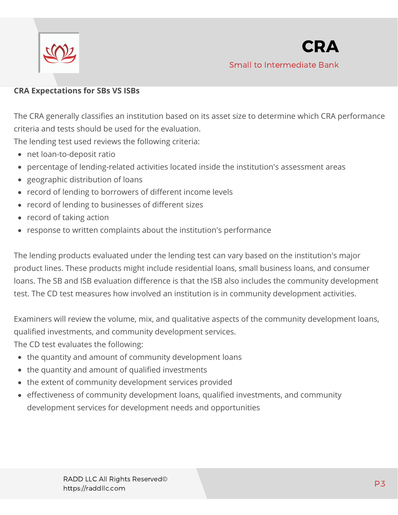

#### **CRA Expectations for SBs VS ISBs**

The CRA generally classifies an institution based on its asset size to determine which CRA performance criteria and tests should be used for the evaluation.

The lending test used reviews the following criteria:

- net loan-to-deposit ratio
- percentage of lending-related activities located inside the institution's assessment areas  $\bullet$
- geographic distribution of loans  $\bullet$
- record of lending to borrowers of different income levels
- record of lending to businesses of different sizes
- record of taking action
- response to written complaints about the institution's performance

The lending products evaluated under the lending test can vary based on the institution's major product lines. These products might include residential loans, small business loans, and consumer loans. The SB and ISB evaluation difference is that the ISB also includes the community development test. The CD test measures how involved an institution is in community development activities.

Examiners will review the volume, mix, and qualitative aspects of the community development loans, qualified investments, and community development services.

The CD test evaluates the following:

- the quantity and amount of community development loans
- the quantity and amount of qualified investments
- the extent of community development services provided
- effectiveness of community development loans, qualified investments, and community development services for development needs and opportunities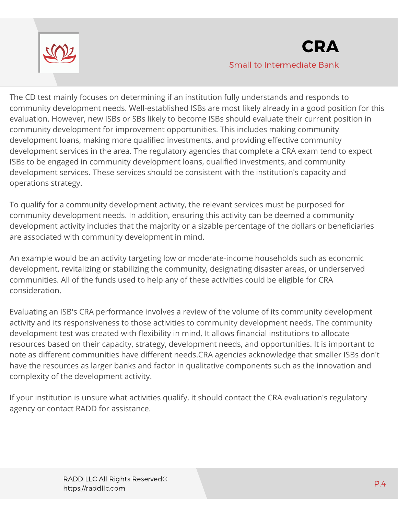

The CD test mainly focuses on determining if an institution fully understands and responds to community development needs. Well-established ISBs are most likely already in a good position for this evaluation. However, new ISBs or SBs likely to become ISBs should evaluate their current position in community development for improvement opportunities. This includes making community development loans, making more qualified investments, and providing effective community development services in the area. The regulatory agencies that complete a CRA exam tend to expect ISBs to be engaged in community development loans, qualified investments, and community development services. These services should be consistent with the institution's capacity and operations strategy.

To qualify for a community development activity, the relevant services must be purposed for community development needs. In addition, ensuring this activity can be deemed a community development activity includes that the majority or a sizable percentage of the dollars or beneficiaries are associated with community development in mind.

An example would be an activity targeting low or moderate-income households such as economic development, revitalizing or stabilizing the community, designating disaster areas, or underserved communities. All of the funds used to help any of these activities could be eligible for CRA consideration.

Evaluating an ISB's CRA performance involves a review of the volume of its community development activity and its responsiveness to those activities to community development needs. The community development test was created with flexibility in mind. It allows financial institutions to allocate resources based on their capacity, strategy, development needs, and opportunities. It is important to note as different communities have different needs.CRA agencies acknowledge that smaller ISBs don't have the resources as larger banks and factor in qualitative components such as the innovation and complexity of the development activity.

If your institution is unsure what activities qualify, it should contact the CRA evaluation's regulatory agency or contact RADD for assistance.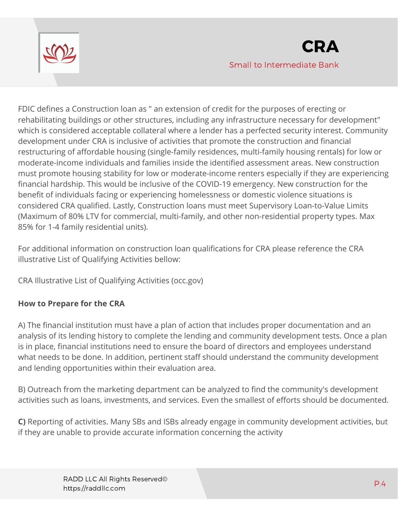

FDIC defines a Construction loan as " an extension of credit for the purposes of erecting or rehabilitating buildings or other structures, including any infrastructure necessary for development" which is considered acceptable collateral where a lender has a perfected security interest. Community development under CRA is inclusive of activities that promote the construction and financial restructuring of affordable housing (single-family residences, multi-family housing rentals) for low or moderate-income individuals and families inside the identified assessment areas. New construction must promote housing stability for low or moderate-income renters especially if they are experiencing financial hardship. This would be inclusive of the COVID-19 emergency. New construction for the benefit of individuals facing or experiencing homelessness or domestic violence situations is considered CRA qualified. Lastly, Construction loans must meet Supervisory Loan-to-Value Limits (Maximum of 80% LTV for commercial, multi-family, and other non-residential property types. Max 85% for 1-4 family residential units).

For additional information on construction loan qualifications for CRA please reference the CRA illustrative List of Qualifying Activities bellow:

[CRA Illustrative List of Qualifying Activities \(occ.gov\)](https://occ.gov/topics/consumers-and-communities/cra/cra-illustrative-list-of-qualifying-activities.pdf)

## **How to Prepare for the CRA**

A) The financial institution must have a plan of action that includes proper documentation and an analysis of its lending history to complete the lending and community development tests. Once a plan is in place, financial institutions need to ensure the board of directors and employees understand what needs to be done. In addition, pertinent staff should understand the community development and lending opportunities within their evaluation area.

B) Outreach from the marketing department can be analyzed to find the community's development activities such as loans, investments, and services. Even the smallest of efforts should be documented.

**C)** Reporting of activities. Many SBs and ISBs already engage in community development activities, but if they are unable to provide accurate information concerning the activity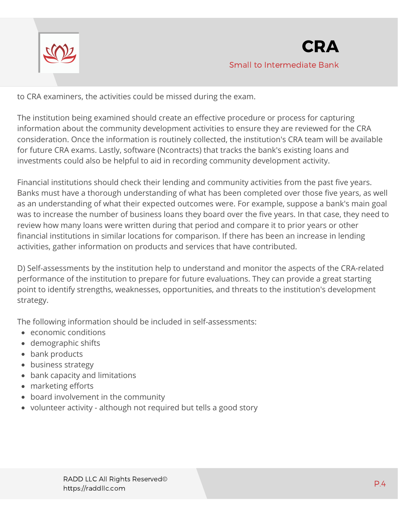

to CRA examiners, the activities could be missed during the exam.

The institution being examined should create an effective procedure or process for capturing information about the community development activities to ensure they are reviewed for the CRA consideration. Once the information is routinely collected, the institution's CRA team will be available for future CRA exams. Lastly, software (Ncontracts) that tracks the bank's existing loans and investments could also be helpful to aid in recording community development activity.

Financial institutions should check their lending and community activities from the past five years. Banks must have a thorough understanding of what has been completed over those five years, as well as an understanding of what their expected outcomes were. For example, suppose a bank's main goal was to increase the number of business loans they board over the five years. In that case, they need to review how many loans were written during that period and compare it to prior years or other financial institutions in similar locations for comparison. If there has been an increase in lending activities, gather information on products and services that have contributed.

D) Self-assessments by the institution help to understand and monitor the aspects of the CRA-related performance of the institution to prepare for future evaluations. They can provide a great starting point to identify strengths, weaknesses, opportunities, and threats to the institution's development strategy.

The following information should be included in self-assessments:

- economic conditions
- demographic shifts
- bank products
- business strategy
- bank capacity and limitations
- marketing efforts
- board involvement in the community
- volunteer activity although not required but tells a good story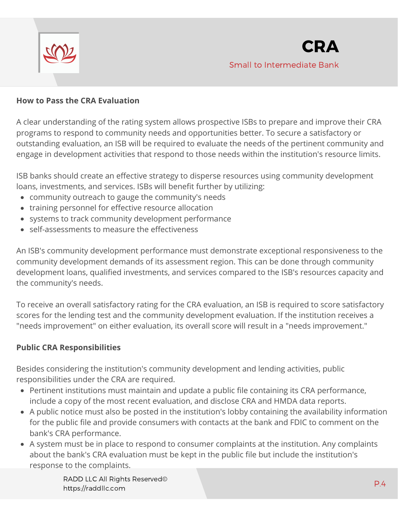

#### **How to Pass the CRA Evaluation**

A clear understanding of the rating system allows prospective ISBs to prepare and improve their CRA programs to respond to community needs and opportunities better. To secure a satisfactory or outstanding evaluation, an ISB will be required to evaluate the needs of the pertinent community and engage in development activities that respond to those needs within the institution's resource limits.

ISB banks should create an effective strategy to disperse resources using community development loans, investments, and services. ISBs will benefit further by utilizing:

- community outreach to gauge the community's needs
- training personnel for effective resource allocation
- systems to track community development performance
- self-assessments to measure the effectiveness

An ISB's community development performance must demonstrate exceptional responsiveness to the community development demands of its assessment region. This can be done through community development loans, qualified investments, and services compared to the ISB's resources capacity and the community's needs.

To receive an overall satisfactory rating for the CRA evaluation, an ISB is required to score satisfactory scores for the lending test and the community development evaluation. If the institution receives a "needs improvement" on either evaluation, its overall score will result in a "needs improvement."

#### **Public CRA Responsibilities**

Besides considering the institution's community development and lending activities, public responsibilities under the CRA are required.

- Pertinent institutions must maintain and update a public file containing its CRA performance, include a copy of the most recent evaluation, and disclose CRA and HMDA data reports.
- A public notice must also be posted in the institution's lobby containing the availability information for the public file and provide consumers with contacts at the bank and FDIC to comment on the bank's CRA performance.
- A system must be in place to respond to consumer complaints at the institution. Any complaints about the bank's CRA evaluation must be kept in the public file but include the institution's response to the complaints.

RADD LLC All Rights Reserved© https://raddllc.com